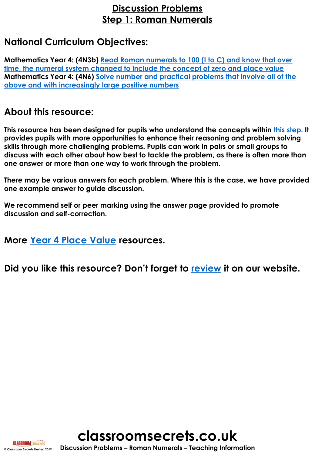### **Discussion Problems Step 1: Roman Numerals**

### **National Curriculum Objectives:**

**Mathematics Year 4: (4N3b) Read Roman numerals to 100 (I to C) and know that over [time, the numeral system changed to include the concept of zero and place value](https://classroomsecrets.co.uk/content-domain-filter/?fwp_contentdomain=4n3b) Mathematics Year 4: (4N6) [Solve number and practical problems that involve all of](https://classroomsecrets.co.uk/content-domain-filter/?fwp_contentdomain=4n6) the above and with increasingly large positive numbers**

#### **About this resource:**

**This resource has been designed for pupils who understand the concepts within [this step](https://classroomsecrets.co.uk/roman-numerals-year-4-place-value-free-resource-pack/). It provides pupils with more opportunities to enhance their reasoning and problem solving skills through more challenging problems. Pupils can work in pairs or small groups to discuss with each other about how best to tackle the problem, as there is often more than one answer or more than one way to work through the problem.**

**There may be various answers for each problem. Where this is the case, we have provided one example answer to guide discussion.** 

**We recommend self or peer marking using the answer page provided to promote discussion and self-correction.**

**More [Year 4 Place Value](https://classroomsecrets.co.uk/category/maths/year-4/autumn-block-1-place-value-year-4/) resources.**

**Did you like this resource? Don't forget to [review](http://classroomsecrets.co.uk/place-value-year-4-roman-numerals-free-discussion-problems/) it on our website.**





**© Classroom Secrets Limited 2019 Discussion Problems – Roman Numerals – Teaching Information**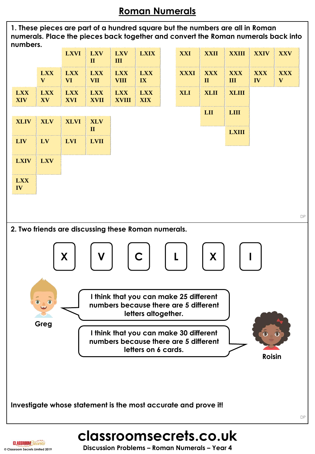# **Roman Numerals**

**1. These pieces are part of a hundred square but the numbers are all in Roman numerals. Place the pieces back together and convert the Roman numerals back into numbers.**



**CLASSROOM Secrets**<br>
© Classroom Secrets Limited 2019<br>
© Classroom Secrets Limited 2019<br> **Discussion Problems – Roman Numerals – Year 4**